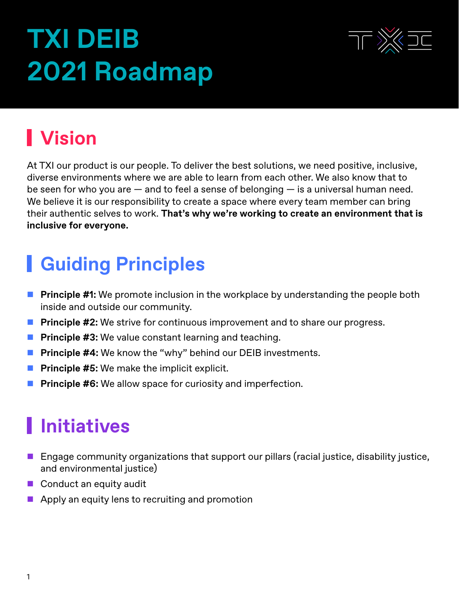# **TXI DEIB 2021 Roadmap**



# **Vision**

At TXI our product is our people. To deliver the best solutions, we need positive, inclusive, diverse environments where we are able to learn from each other. We also know that to be seen for who you are  $-$  and to feel a sense of belonging  $-$  is a universal human need. We believe it is our responsibility to create a space where every team member can bring their authentic selves to work. **That's why we're working to create an environment that is inclusive for everyone.**

## **Guiding Principles**

- **Principle #1:** We promote inclusion in the workplace by understanding the people both inside and outside our community.
- **Principle #2:** We strive for continuous improvement and to share our progress.
- **Principle #3:** We value constant learning and teaching.
- **Principle #4:** We know the "why" behind our DEIB investments.
- **Principle #5:** We make the implicit explicit.
- **Principle #6:** We allow space for curiosity and imperfection.

## **Initiatives**

- **E** Engage community organizations that support our pillars (racial justice, disability justice, and environmental justice)
- $\blacksquare$  Conduct an equity audit
- $\blacksquare$  Apply an equity lens to recruiting and promotion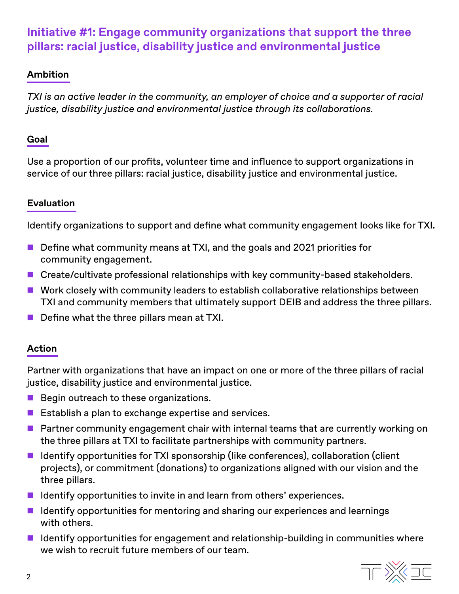### **Initiative #1: Engage community organizations that support the three pillars: racial justice, disability justice and environmental justice**

#### **Ambition**

*TXI is an active leader in the community, an employer of choice and a supporter of racial justice, disability justice and environmental justice through its collaborations.*

#### **Goal**

Use a proportion of our profits, volunteer time and influence to support organizations in service of our three pillars: racial justice, disability justice and environmental justice.

#### **Evaluation**

Identify organizations to support and define what community engagement looks like for TXI.

- $\blacksquare$  Define what community means at TXI, and the goals and 2021 priorities for community engagement.
- Create/cultivate professional relationships with key community-based stakeholders.
- $\blacksquare$  Work closely with community leaders to establish collaborative relationships between TXI and community members that ultimately support DEIB and address the three pillars.
- $\blacksquare$  Define what the three pillars mean at TXI.

#### **Action**

Partner with organizations that have an impact on one or more of the three pillars of racial justice, disability justice and environmental justice.

- $\blacksquare$  Begin outreach to these organizations.
- $\blacksquare$  Establish a plan to exchange expertise and services.
- $\blacksquare$  Partner community engagement chair with internal teams that are currently working on the three pillars at TXI to facilitate partnerships with community partners.
- $\blacksquare$  Identify opportunities for TXI sponsorship (like conferences), collaboration (client projects), or commitment (donations) to organizations aligned with our vision and the three pillars.
- $\blacksquare$  Identify opportunities to invite in and learn from others' experiences.
- $\blacksquare$  Identify opportunities for mentoring and sharing our experiences and learnings with others.
- $\blacksquare$  Identify opportunities for engagement and relationship-building in communities where we wish to recruit future members of our team.

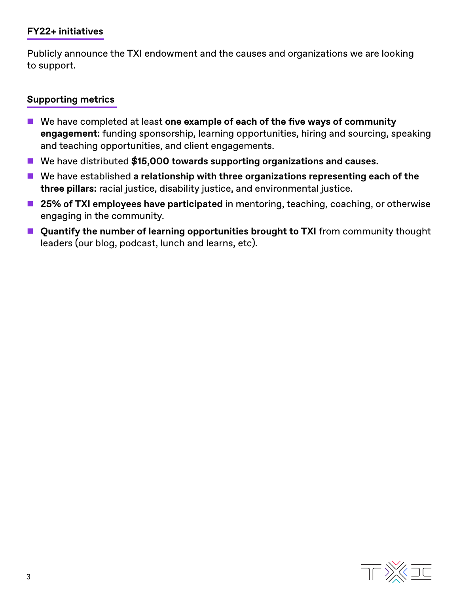#### **FY22+ initiatives**

Publicly announce the TXI endowment and the causes and organizations we are looking to support.

#### **Supporting metrics**

- We have completed at least one example of each of the five ways of community **engagement:** funding sponsorship, learning opportunities, hiring and sourcing, speaking and teaching opportunities, and client engagements.
- We have distributed \$15,000 towards supporting organizations and causes.
- We have established a relationship with three organizations representing each of the **three pillars:** racial justice, disability justice, and environmental justice.
- 25% of TXI employees have participated in mentoring, teaching, coaching, or otherwise engaging in the community.
- **E** Quantify the number of learning opportunities brought to TXI from community thought leaders (our blog, podcast, lunch and learns, etc).

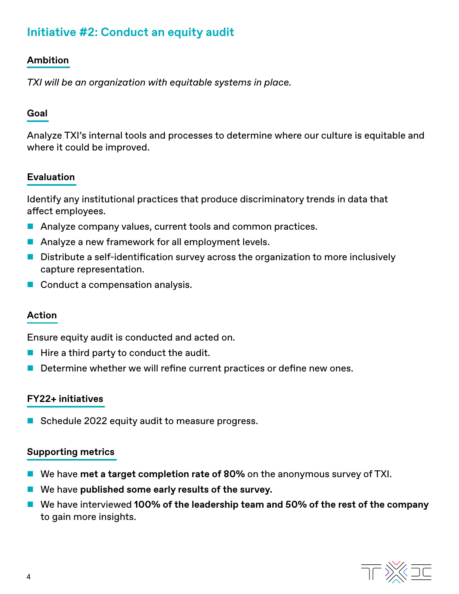### **Initiative #2: Conduct an equity audit**

#### **Ambition**

*TXI will be an organization with equitable systems in place.*

#### **Goal**

Analyze TXI's internal tools and processes to determine where our culture is equitable and where it could be improved.

#### **Evaluation**

Identify any institutional practices that produce discriminatory trends in data that affect employees.

- Analyze company values, current tools and common practices.
- Analyze a new framework for all employment levels.
- $\blacksquare$  Distribute a self-identification survey across the organization to more inclusively capture representation.
- Conduct a compensation analysis.

#### **Action**

Ensure equity audit is conducted and acted on.

- $\blacksquare$  Hire a third party to conduct the audit.
- $\blacksquare$  Determine whether we will refine current practices or define new ones.

#### **FY22+ initiatives**

Schedule 2022 equity audit to measure progress.

#### **Supporting metrics**

- We have met a target completion rate of 80% on the anonymous survey of TXI.
- We have published some early results of the survey.
- We have interviewed 100% of the leadership team and 50% of the rest of the company to gain more insights.

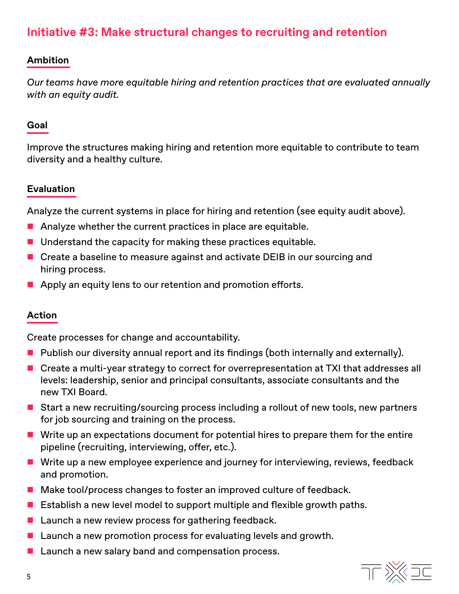### **Initiative #3: Make structural changes to recruiting and retention**

#### **Ambition**

*Our teams have more equitable hiring and retention practices that are evaluated annually with an equity audit.*

#### **Goal**

Improve the structures making hiring and retention more equitable to contribute to team diversity and a healthy culture.

#### **Evaluation**

Analyze the current systems in place for hiring and retention (see equity audit above).

- $\blacksquare$  Analyze whether the current practices in place are equitable.
- $\blacksquare$  Understand the capacity for making these practices equitable.
- Create a baseline to measure against and activate DEIB in our sourcing and hiring process.
- $\blacksquare$  Apply an equity lens to our retention and promotion efforts.

#### **Action**

Create processes for change and accountability.

- $\blacksquare$  Publish our diversity annual report and its findings (both internally and externally).
- Create a multi-year strategy to correct for overrepresentation at TXI that addresses all levels: leadership, senior and principal consultants, associate consultants and the new TXI Board.
- Start a new recruiting/sourcing process including a rollout of new tools, new partners for job sourcing and training on the process.
- $\blacksquare$  Write up an expectations document for potential hires to prepare them for the entire pipeline (recruiting, interviewing, offer, etc.).
- $\blacksquare$  Write up a new employee experience and journey for interviewing, reviews, feedback and promotion.
- Make tool/process changes to foster an improved culture of feedback.
- **Establish a new level model to support multiple and flexible growth paths.**
- **E** Launch a new review process for gathering feedback.
- $\blacksquare$  Launch a new promotion process for evaluating levels and growth.
- $\blacksquare$  Launch a new salary band and compensation process.

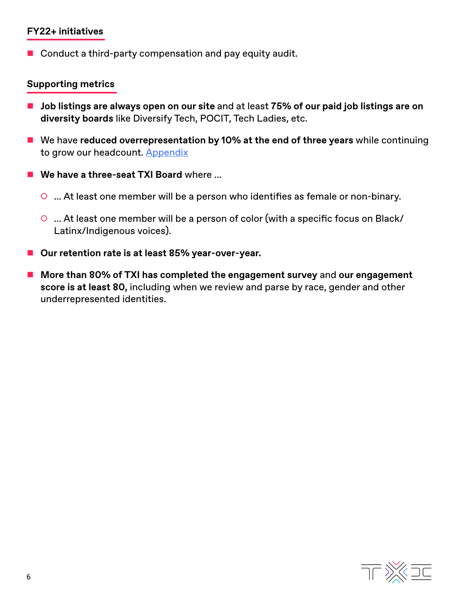#### **FY22+ initiatives**

Conduct a third-party compensation and pay equity audit.

#### **Supporting metrics**

- Job listings are always open on our site and at least 75% of our paid job listings are on **diversity boards** like Diversify Tech, POCIT, Tech Ladies, etc.
- **E** We have reduced overrepresentation by 10% at the end of three years while continuing to grow our headcount. [Appendix](#page-6-0)
- We have a three-seat TXI Board where ...
	- O ... At least one member will be a person who identifies as female or non-binary.
	- O ... At least one member will be a person of color (with a specific focus on Black/ Latinx/Indigenous voices).
- Our retention rate is at least 85% year-over-year.
- More than 80% of TXI has completed the engagement survey and our engagement **score is at least 80,** including when we review and parse by race, gender and other underrepresented identities.